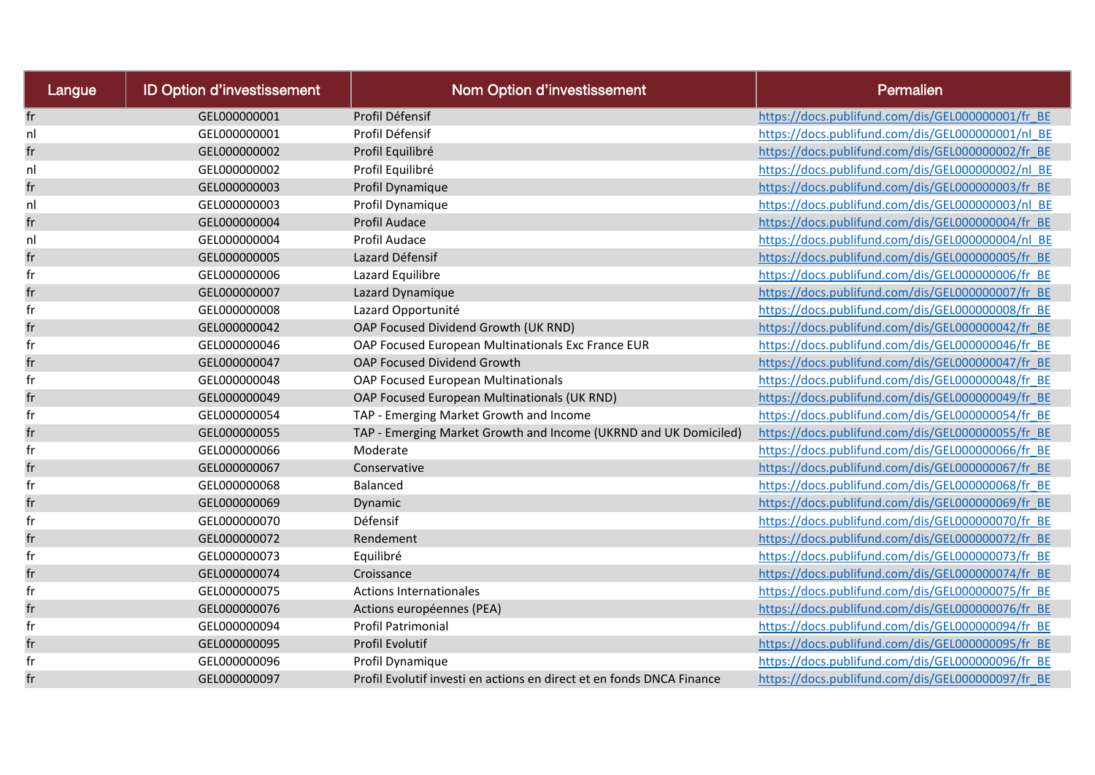| Langue   | <b>ID Option d'investissement</b> | <b>Nom Option d'investissement</b>                                    | Permalien                                         |
|----------|-----------------------------------|-----------------------------------------------------------------------|---------------------------------------------------|
| fr       | GEL000000001                      | Profil Défensif                                                       | https://docs.publifund.com/dis/GEL000000001/fr BE |
| nl       | GEL000000001                      | Profil Défensif                                                       | https://docs.publifund.com/dis/GEL000000001/nl BE |
| fr       | GEL000000002                      | Profil Equilibré                                                      | https://docs.publifund.com/dis/GEL000000002/fr BE |
| nl       | GEL000000002                      | Profil Equilibré                                                      | https://docs.publifund.com/dis/GEL000000002/nl BE |
| fr       | GEL000000003                      | Profil Dynamique                                                      | https://docs.publifund.com/dis/GEL000000003/fr BE |
| nl       | GEL000000003                      | Profil Dynamique                                                      | https://docs.publifund.com/dis/GEL000000003/nl BE |
| fr       | GEL000000004                      | Profil Audace                                                         | https://docs.publifund.com/dis/GEL000000004/fr BE |
| nl       | GEL000000004                      | Profil Audace                                                         | https://docs.publifund.com/dis/GEL000000004/nl BE |
| fr       | GEL000000005                      | Lazard Défensif                                                       | https://docs.publifund.com/dis/GEL000000005/fr BE |
| fr       | GEL000000006                      | Lazard Equilibre                                                      | https://docs.publifund.com/dis/GEL000000006/fr BE |
| fr       | GEL000000007                      | Lazard Dynamique                                                      | https://docs.publifund.com/dis/GEL000000007/fr BE |
| $\sf fr$ | GEL000000008                      | Lazard Opportunité                                                    | https://docs.publifund.com/dis/GEL000000008/fr BE |
| fr       | GEL000000042                      | OAP Focused Dividend Growth (UK RND)                                  | https://docs.publifund.com/dis/GEL000000042/fr BE |
| fr       | GEL000000046                      | OAP Focused European Multinationals Exc France EUR                    | https://docs.publifund.com/dis/GEL000000046/fr BE |
| fr       | GEL000000047                      | OAP Focused Dividend Growth                                           | https://docs.publifund.com/dis/GEL000000047/fr BE |
| fr       | GEL000000048                      | OAP Focused European Multinationals                                   | https://docs.publifund.com/dis/GEL000000048/fr BE |
| fr       | GEL000000049                      | OAP Focused European Multinationals (UK RND)                          | https://docs.publifund.com/dis/GEL000000049/fr BE |
| fr       | GEL000000054                      | TAP - Emerging Market Growth and Income                               | https://docs.publifund.com/dis/GEL000000054/fr BE |
| fr       | GEL000000055                      | TAP - Emerging Market Growth and Income (UKRND and UK Domiciled)      | https://docs.publifund.com/dis/GEL000000055/fr BE |
| fr       | GEL000000066                      | Moderate                                                              | https://docs.publifund.com/dis/GEL000000066/fr BE |
| fr       | GEL000000067                      | Conservative                                                          | https://docs.publifund.com/dis/GEL000000067/fr BE |
| fr       | GEL000000068                      | Balanced                                                              | https://docs.publifund.com/dis/GEL000000068/fr BE |
| fr       | GEL000000069                      | Dynamic                                                               | https://docs.publifund.com/dis/GEL000000069/fr BE |
| fr       | GEL000000070                      | Défensif                                                              | https://docs.publifund.com/dis/GEL000000070/fr BE |
| fr       | GEL000000072                      | Rendement                                                             | https://docs.publifund.com/dis/GEL000000072/fr BE |
| fr       | GEL000000073                      | Equilibré                                                             | https://docs.publifund.com/dis/GEL000000073/fr BE |
| $\sf fr$ | GEL000000074                      | Croissance                                                            | https://docs.publifund.com/dis/GEL000000074/fr BE |
| fr       | GEL000000075                      | <b>Actions Internationales</b>                                        | https://docs.publifund.com/dis/GEL000000075/fr BE |
| fr       | GEL000000076                      | Actions européennes (PEA)                                             | https://docs.publifund.com/dis/GEL000000076/fr BE |
| fr       | GEL000000094                      | Profil Patrimonial                                                    | https://docs.publifund.com/dis/GEL000000094/fr BE |
| fr       | GEL000000095                      | Profil Evolutif                                                       | https://docs.publifund.com/dis/GEL000000095/fr BE |
| fr       | GEL000000096                      | Profil Dynamique                                                      | https://docs.publifund.com/dis/GEL000000096/fr BE |
| fr       | GEL000000097                      | Profil Evolutif investi en actions en direct et en fonds DNCA Finance | https://docs.publifund.com/dis/GEL000000097/fr BE |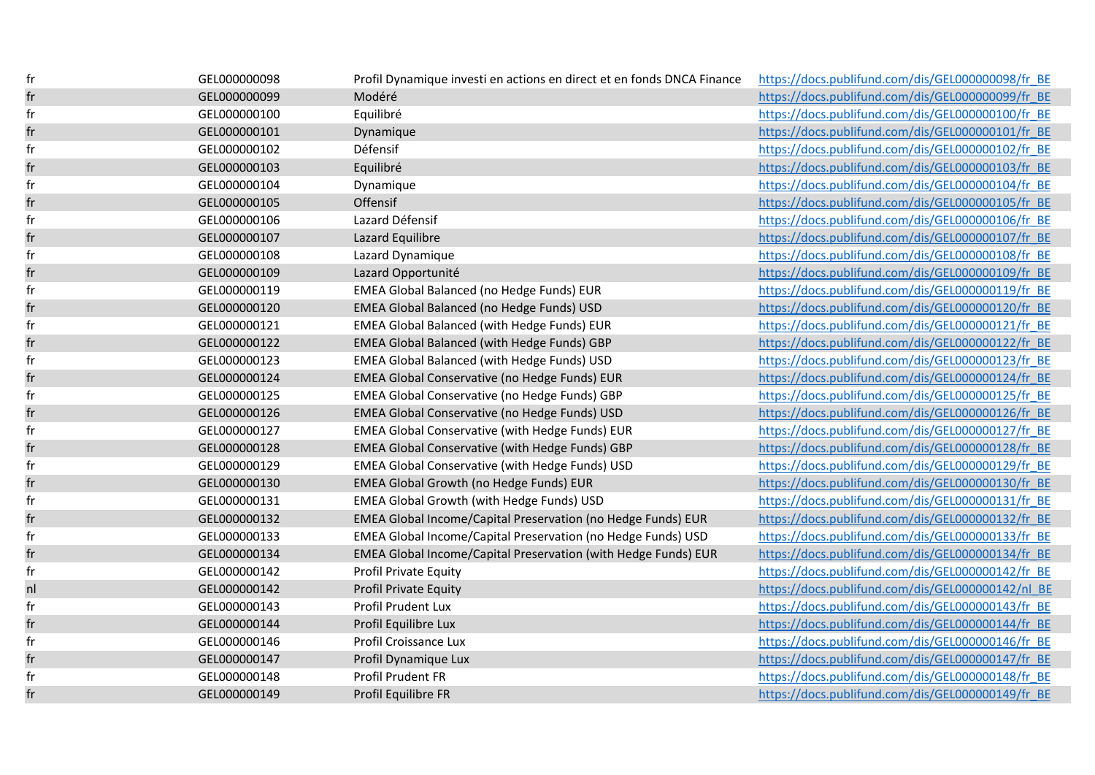| fr                         | GEL000000098 | Profil Dynamique investi en actions en direct et en fonds DNCA Finance | https://docs.publifund.com/dis/GEL000000098/fr BE |
|----------------------------|--------------|------------------------------------------------------------------------|---------------------------------------------------|
| fr                         | GEL000000099 | Modéré                                                                 | https://docs.publifund.com/dis/GEL000000099/fr BE |
| fr                         | GEL000000100 | Equilibré                                                              | https://docs.publifund.com/dis/GEL000000100/fr BE |
| fr                         | GEL000000101 | Dynamique                                                              | https://docs.publifund.com/dis/GEL000000101/fr BE |
| fr                         | GEL000000102 | Défensif                                                               | https://docs.publifund.com/dis/GEL000000102/fr BE |
| fr                         | GEL000000103 | Equilibré                                                              | https://docs.publifund.com/dis/GEL000000103/fr BE |
| fr                         | GEL000000104 | Dynamique                                                              | https://docs.publifund.com/dis/GEL000000104/fr BE |
| fr                         | GEL000000105 | Offensif                                                               | https://docs.publifund.com/dis/GEL000000105/fr BE |
| fr                         | GEL000000106 | Lazard Défensif                                                        | https://docs.publifund.com/dis/GEL000000106/fr BE |
| fr                         | GEL000000107 | Lazard Equilibre                                                       | https://docs.publifund.com/dis/GEL000000107/fr BE |
| fr                         | GEL000000108 | Lazard Dynamique                                                       | https://docs.publifund.com/dis/GEL000000108/fr BE |
| fr                         | GEL000000109 | Lazard Opportunité                                                     | https://docs.publifund.com/dis/GEL000000109/fr BE |
| fr                         | GEL000000119 | EMEA Global Balanced (no Hedge Funds) EUR                              | https://docs.publifund.com/dis/GEL000000119/fr BE |
| $\mathop{\sf fr}\nolimits$ | GEL000000120 | EMEA Global Balanced (no Hedge Funds) USD                              | https://docs.publifund.com/dis/GEL000000120/fr BE |
| fr                         | GEL000000121 | EMEA Global Balanced (with Hedge Funds) EUR                            | https://docs.publifund.com/dis/GEL000000121/fr BE |
| fr                         | GEL000000122 | EMEA Global Balanced (with Hedge Funds) GBP                            | https://docs.publifund.com/dis/GEL000000122/fr BE |
| fr                         | GEL000000123 | EMEA Global Balanced (with Hedge Funds) USD                            | https://docs.publifund.com/dis/GEL000000123/fr BE |
| fr                         | GEL000000124 | EMEA Global Conservative (no Hedge Funds) EUR                          | https://docs.publifund.com/dis/GEL000000124/fr BE |
| fr                         | GEL000000125 | EMEA Global Conservative (no Hedge Funds) GBP                          | https://docs.publifund.com/dis/GEL000000125/fr BE |
| fr                         | GEL000000126 | EMEA Global Conservative (no Hedge Funds) USD                          | https://docs.publifund.com/dis/GEL000000126/fr BE |
| fr                         | GEL000000127 | EMEA Global Conservative (with Hedge Funds) EUR                        | https://docs.publifund.com/dis/GEL000000127/fr BE |
| fr                         | GEL000000128 | EMEA Global Conservative (with Hedge Funds) GBP                        | https://docs.publifund.com/dis/GEL000000128/fr BE |
| fr                         | GEL000000129 | EMEA Global Conservative (with Hedge Funds) USD                        | https://docs.publifund.com/dis/GEL000000129/fr BE |
| fr                         | GEL000000130 | EMEA Global Growth (no Hedge Funds) EUR                                | https://docs.publifund.com/dis/GEL000000130/fr BE |
| fr                         | GEL000000131 | EMEA Global Growth (with Hedge Funds) USD                              | https://docs.publifund.com/dis/GEL000000131/fr BE |
| $\mathop{\sf fr}\nolimits$ | GEL000000132 | EMEA Global Income/Capital Preservation (no Hedge Funds) EUR           | https://docs.publifund.com/dis/GEL000000132/fr BE |
| fr                         | GEL000000133 | EMEA Global Income/Capital Preservation (no Hedge Funds) USD           | https://docs.publifund.com/dis/GEL000000133/fr BE |
| fr                         | GEL000000134 | EMEA Global Income/Capital Preservation (with Hedge Funds) EUR         | https://docs.publifund.com/dis/GEL000000134/fr BE |
| fr                         | GEL000000142 | Profil Private Equity                                                  | https://docs.publifund.com/dis/GEL000000142/fr BE |
| nl                         | GEL000000142 | <b>Profil Private Equity</b>                                           | https://docs.publifund.com/dis/GEL000000142/nl BE |
| fr                         | GEL000000143 | Profil Prudent Lux                                                     | https://docs.publifund.com/dis/GEL000000143/fr BE |
| fr                         | GEL000000144 | Profil Equilibre Lux                                                   | https://docs.publifund.com/dis/GEL000000144/fr BE |
| fr                         | GEL000000146 | Profil Croissance Lux                                                  | https://docs.publifund.com/dis/GEL000000146/fr BE |
| fr                         | GEL000000147 | Profil Dynamique Lux                                                   | https://docs.publifund.com/dis/GEL000000147/fr BE |
| fr                         | GEL000000148 | Profil Prudent FR                                                      | https://docs.publifund.com/dis/GEL000000148/fr BE |
| fr                         | GEL000000149 | Profil Equilibre FR                                                    | https://docs.publifund.com/dis/GEL000000149/fr BE |